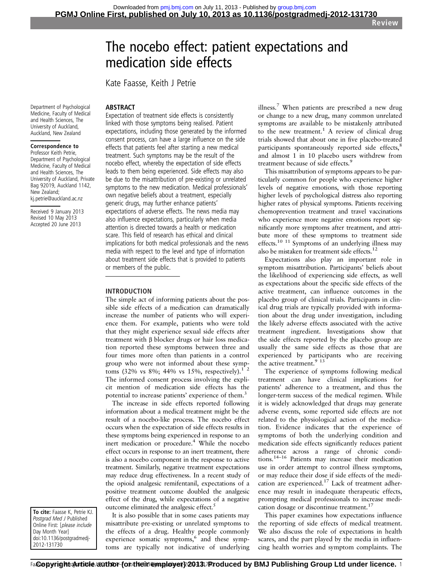Review

# The nocebo effect: patient expectations and medication side effects

Kate Faasse, Keith J Petrie

ABSTRACT

Department of Psychological Medicine, Faculty of Medical and Health Sciences, The University of Auckland, Auckland, New Zealand

#### Correspondence to

Professor Keith Petrie, Department of Psychological Medicine, Faculty of Medical and Health Sciences, The University of Auckland, Private Bag 92019, Auckland 1142, New Zealand; kj.petrie@auckland.ac.nz

Received 9 January 2013 Revised 10 May 2013 Accepted 20 June 2013

Expectation of treatment side effects is consistently linked with those symptoms being realised. Patient expectations, including those generated by the informed consent process, can have a large influence on the side effects that patients feel after starting a new medical treatment. Such symptoms may be the result of the nocebo effect, whereby the expectation of side effects leads to them being experienced. Side effects may also be due to the misattribution of pre-existing or unrelated symptoms to the new medication. Medical professionals' own negative beliefs about a treatment, especially generic drugs, may further enhance patients' expectations of adverse effects. The news media may also influence expectations, particularly when media attention is directed towards a health or medication scare. This field of research has ethical and clinical implications for both medical professionals and the news media with respect to the level and type of information about treatment side effects that is provided to patients or members of the public.

#### INTRODUCTION

The simple act of informing patients about the possible side effects of a medication can dramatically increase the number of patients who will experience them. For example, patients who were told that they might experience sexual side effects after treatment with β blocker drugs or hair loss medication reported these symptoms between three and four times more often than patients in a control group who were not informed about these symptoms (32% vs 8%; 44% vs 15%, respectively).<sup>1 2</sup> The informed consent process involving the explicit mention of medication side effects has the potential to increase patients' experience of them.<sup>3</sup>

The increase in side effects reported following information about a medical treatment might be the result of a nocebo-like process. The nocebo effect occurs when the expectation of side effects results in these symptoms being experienced in response to an inert medication or procedure.<sup>4</sup> While the nocebo effect occurs in response to an inert treatment, there is also a nocebo component in the response to active treatment. Similarly, negative treatment expectations may reduce drug effectiveness. In a recent study of the opioid analgesic remifentanil, expectations of a positive treatment outcome doubled the analgesic effect of the drug, while expectations of a negative outcome eliminated the analgesic effect.<sup>5</sup>

To cite: Faasse K, Petrie KJ. Postgrad Med J Published Online First: [please include Day Month Year] doi:10.1136/postgradmedj-2012-131730

It is also possible that in some cases patients may misattribute pre-existing or unrelated symptoms to the effects of a drug. Healthy people commonly experience somatic symptoms,<sup>6</sup> and these symptoms are typically not indicative of underlying illness.<sup>7</sup> When patients are prescribed a new drug or change to a new drug, many common unrelated symptoms are available to be mistakenly attributed to the new treatment.<sup>1</sup> A review of clinical drug trials showed that about one in five placebo-treated participants spontaneously reported side effects,<sup>8</sup> and almost 1 in 10 placebo users withdrew from treatment because of side effects.<sup>9</sup>

This misattribution of symptoms appears to be particularly common for people who experience higher levels of negative emotions, with those reporting higher levels of psychological distress also reporting higher rates of physical symptoms. Patients receiving chemoprevention treatment and travel vaccinations who experience more negative emotions report significantly more symptoms after treatment, and attribute more of these symptoms to treatment side effects.10 11 Symptoms of an underlying illness may also be mistaken for treatment side effects.<sup>12</sup>

Expectations also play an important role in symptom misattribution. Participants' beliefs about the likelihood of experiencing side effects, as well as expectations about the specific side effects of the active treatment, can influence outcomes in the placebo group of clinical trials. Participants in clinical drug trials are typically provided with information about the drug under investigation, including the likely adverse effects associated with the active treatment ingredient. Investigations show that the side effects reported by the placebo group are usually the same side effects as those that are experienced by participants who are receiving the active treatment.<sup>9</sup> <sup>13</sup>

The experience of symptoms following medical treatment can have clinical implications for patients' adherence to a treatment, and thus the longer-term success of the medical regimen. While it is widely acknowledged that drugs may generate adverse events, some reported side effects are not related to the physiological action of the medication. Evidence indicates that the experience of symptoms of both the underlying condition and medication side effects significantly reduces patient adherence across a range of chronic conditions.14–<sup>16</sup> Patients may increase their medication use in order attempt to control illness symptoms, or may reduce their dose if side effects of the medication are experienced.<sup>17</sup> Lack of treatment adherence may result in inadequate therapeutic effects, prompting medical professionals to increase medication dosage or discontinue treatment.<sup>17</sup>

This paper examines how expectations influence the reporting of side effects of medical treatment. We also discuss the role of expectations in health scares, and the part played by the media in influencing health worries and symptom complaints. The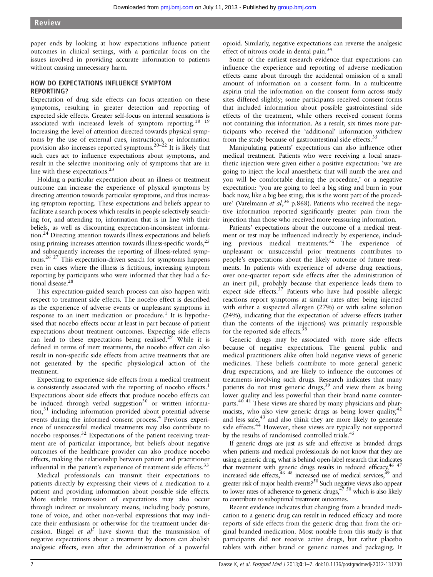paper ends by looking at how expectations influence patient outcomes in clinical settings, with a particular focus on the issues involved in providing accurate information to patients without causing unnecessary harm.

# HOW DO EXPECTATIONS INFLUENCE SYMPTOM REPORTING?

Expectation of drug side effects can focus attention on these symptoms, resulting in greater detection and reporting of expected side effects. Greater self-focus on internal sensations is associated with increased levels of symptom reporting.18 19 Increasing the level of attention directed towards physical symptoms by the use of external cues, instructions, or information provision also increases reported symptoms.<sup>20–22</sup> It is likely that such cues act to influence expectations about symptoms, and result in the selective monitoring only of symptoms that are in line with these expectations.<sup>23</sup>

Holding a particular expectation about an illness or treatment outcome can increase the experience of physical symptoms by directing attention towards particular symptoms, and thus increasing symptom reporting. These expectations and beliefs appear to facilitate a search process which results in people selectively searching for, and attending to, information that is in line with their beliefs, as well as discounting expectation-inconsistent information.24 Directing attention towards illness expectations and beliefs using priming increases attention towards illness-specific words,  $2^5$ and subsequently increases the reporting of illness-related symptoms.<sup>26 27</sup> This expectation-driven search for symptoms happens even in cases where the illness is fictitious, increasing symptom reporting by participants who were informed that they had a fictional disease.<sup>28</sup>

This expectation-guided search process can also happen with respect to treatment side effects. The nocebo effect is described as the experience of adverse events or unpleasant symptoms in response to an inert medication or procedure.<sup>1</sup> It is hypothesised that nocebo effects occur at least in part because of patient expectations about treatment outcomes. Expecting side effects can lead to these expectations being realised.29 While it is defined in terms of inert treatments, the nocebo effect can also result in non-specific side effects from active treatments that are not generated by the specific physiological action of the treatment.

Expecting to experience side effects from a medical treatment is consistently associated with the reporting of nocebo effects.<sup>1</sup> Expectations about side effects that produce nocebo effects can be induced through verbal suggestion<sup>30</sup> or written informa- $\text{tion}$ <sup>31</sup> including information provided about potential adverse events during the informed consent process.<sup>4</sup> Previous experience of unsuccessful medical treatments may also contribute to nocebo responses.<sup>32</sup> Expectations of the patient receiving treatment are of particular importance, but beliefs about negative outcomes of the healthcare provider can also produce nocebo effects, making the relationship between patient and practitioner influential in the patient's experience of treatment side effects.<sup>33</sup>

Medical professionals can transmit their expectations to patients directly by expressing their views of a medication to a patient and providing information about possible side effects. More subtle transmission of expectations may also occur through indirect or involuntary means, including body posture, tone of voice, and other non-verbal expressions that may indicate their enthusiasm or otherwise for the treatment under discussion. Bingel et  $al^5$  have shown that the transmission of negative expectations about a treatment by doctors can abolish analgesic effects, even after the administration of a powerful

opioid. Similarly, negative expectations can reverse the analgesic effect of nitrous oxide in dental pain.<sup>34</sup>

Some of the earliest research evidence that expectations can influence the experience and reporting of adverse medication effects came about through the accidental omission of a small amount of information on a consent form. In a multicentre aspirin trial the information on the consent form across study sites differed slightly; some participants received consent forms that included information about possible gastrointestinal side effects of the treatment, while others received consent forms not containing this information. As a result, six times more participants who received the 'additional' information withdrew from the study because of gastrointestinal side effects.<sup>35</sup>

Manipulating patients' expectations can also influence other medical treatment. Patients who were receiving a local anaesthetic injection were given either a positive expectation: 'we are going to inject the local anaesthetic that will numb the area and you will be comfortable during the procedure,' or a negative expectation: 'you are going to feel a big sting and burn in your back now, like a big bee sting; this is the worst part of the procedure' (Varelmann et al,<sup>36</sup> p.868). Patients who received the negative information reported significantly greater pain from the injection than those who received more reassuring information.

Patients' expectations about the outcome of a medical treatment or test may be influenced indirectly by experience, including previous medical treatments.<sup>32</sup> The experience of unpleasant or unsuccessful prior treatments contributes to people's expectations about the likely outcome of future treatments. In patients with experience of adverse drug reactions, over one-quarter report side effects after the administration of an inert pill, probably because that experience leads them to expect side effects.<sup>37</sup> Patients who have had possible allergic reactions report symptoms at similar rates after being injected with either a suspected allergen (27%) or with saline solution (24%), indicating that the expectation of adverse effects (rather than the contents of the injections) was primarily responsible for the reported side effects.<sup>3</sup>

Generic drugs may be associated with more side effects because of negative expectations. The general public and medical practitioners alike often hold negative views of generic medicines. These beliefs contribute to more general generic drug expectations, and are likely to influence the outcomes of treatments involving such drugs. Research indicates that many patients do not trust generic drugs,<sup>39</sup> and view them as being lower quality and less powerful than their brand name counterparts.<sup>40 41</sup> These views are shared by many physicians and pharmacists, who also view generic drugs as being lower quality,  $42$ and less safe,<sup>43</sup> and also think they are more likely to generate side effects.<sup>44</sup> However, these views are typically not supported by the results of randomised controlled trials.<sup>45</sup>

If generic drugs are just as safe and effective as branded drugs when patients and medical professionals do not know that they are using a generic drug, what is behind open-label research that indicates that treatment with generic drugs results in reduced efficacy,<sup>46 47</sup> increased side effects, $4648$  increased use of medical services, $49$  and greater risk of major health events?<sup>50</sup> Such negative views also appear to lower rates of adherence to generic drugs,  $4750$  which is also likely to contribute to suboptimal treatment outcomes.

Recent evidence indicates that changing from a branded medication to a generic drug can result in reduced efficacy and more reports of side effects from the generic drug than from the original branded medication. Most notable from this study is that participants did not receive active drugs, but rather placebo tablets with either brand or generic names and packaging. It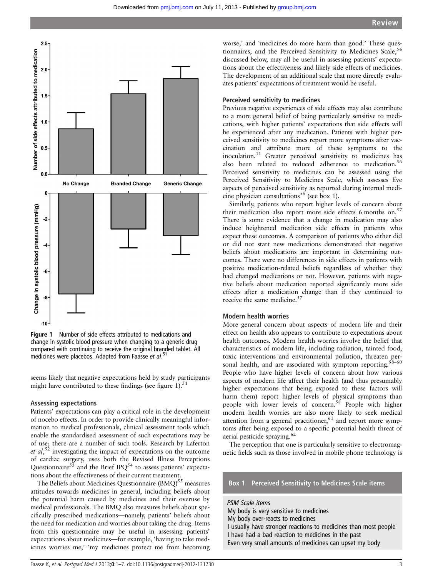

Figure 1 Number of side effects attributed to medications and change in systolic blood pressure when changing to a generic drug compared with continuing to receive the original branded tablet. All medicines were placebos. Adapted from Faasse et al.<sup>51</sup>

seems likely that negative expectations held by study participants might have contributed to these findings (see figure 1).<sup>51</sup>

#### Assessing expectations

Patients' expectations can play a critical role in the development of nocebo effects. In order to provide clinically meaningful information to medical professionals, clinical assessment tools which enable the standardised assessment of such expectations may be of use; there are a number of such tools. Research by Laferton et  $al$ ,<sup>52</sup> investigating the impact of expectations on the outcome of cardiac surgery, uses both the Revised Illness Perceptions Questionnaire $53$  and the Brief IPQ<sup>54</sup> to assess patients' expectations about the effectiveness of their current treatment.

The Beliefs about Medicines Questionnaire  $(BMQ)^{55}$  measures attitudes towards medicines in general, including beliefs about the potential harm caused by medicines and their overuse by medical professionals. The BMQ also measures beliefs about specifically prescribed medications—namely, patients' beliefs about the need for medication and worries about taking the drug. Items from this questionnaire may be useful in assessing patients' expectations about medicines—for example, 'having to take medicines worries me,' 'my medicines protect me from becoming

worse,' and 'medicines do more harm than good.' These questionnaires, and the Perceived Sensitivity to Medicines Scale,<sup>56</sup> discussed below, may all be useful in assessing patients' expectations about the effectiveness and likely side effects of medicines. The development of an additional scale that more directly evaluates patients' expectations of treatment would be useful.

#### Perceived sensitivity to medicines

Previous negative experiences of side effects may also contribute to a more general belief of being particularly sensitive to medications, with higher patients' expectations that side effects will be experienced after any medication. Patients with higher perceived sensitivity to medicines report more symptoms after vaccination and attribute more of these symptoms to the inoculation.<sup>11</sup> Greater perceived sensitivity to medicines has also been related to reduced adherence to medication.<sup>56</sup> Perceived sensitivity to medicines can be assessed using the Perceived Sensitivity to Medicines Scale, which assesses five aspects of perceived sensitivity as reported during internal medicine physician consultations<sup>56</sup> (see box 1).

Similarly, patients who report higher levels of concern about their medication also report more side effects 6 months on.<sup>57</sup> There is some evidence that a change in medication may also induce heightened medication side effects in patients who expect these outcomes. A comparison of patients who either did or did not start new medications demonstrated that negative beliefs about medications are important in determining outcomes. There were no differences in side effects in patients with positive medication-related beliefs regardless of whether they had changed medications or not. However, patients with negative beliefs about medication reported significantly more side effects after a medication change than if they continued to receive the same medicine.<sup>57</sup>

#### Modern health worries

More general concern about aspects of modern life and their effect on health also appears to contribute to expectations about health outcomes. Modern health worries involve the belief that characteristics of modern life, including radiation, tainted food, toxic interventions and environmental pollution, threaten personal health, and are associated with symptom reporting.  $58-60$ People who have higher levels of concern about how various aspects of modern life affect their health (and thus presumably higher expectations that being exposed to these factors will harm them) report higher levels of physical symptoms than people with lower levels of concern.58 People with higher modern health worries are also more likely to seek medical attention from a general practitioner,  $61$  and report more symptoms after being exposed to a specific potential health threat of aerial pesticide spraying. $62$ 

The perception that one is particularly sensitive to electromagnetic fields such as those involved in mobile phone technology is

#### Box 1 Perceived Sensitivity to Medicines Scale items

# PSM Scale items

My body is very sensitive to medicines My body over-reacts to medicines I usually have stronger reactions to medicines than most people I have had a bad reaction to medicines in the past Even very small amounts of medicines can upset my body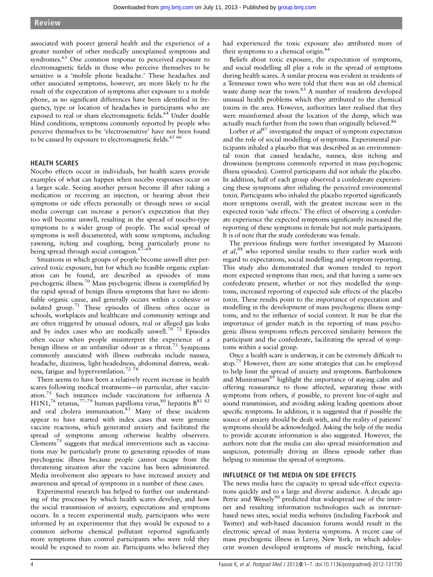associated with poorer general health and the experience of a greater number of other medically unexplained symptoms and syndromes.<sup>63</sup> One common response to perceived exposure to electromagnetic fields in those who perceive themselves to be sensitive is a 'mobile phone headache.' These headaches and other associated symptoms, however, are more likely to be the result of the expectation of symptoms after exposure to a mobile phone, as no significant differences have been identified in frequency, type or location of headaches in participants who are exposed to real or sham electromagnetic fields. $64$  Under double blind conditions, symptoms commonly reported by people who perceive themselves to be 'electrosensitive' have not been found to be caused by exposure to electromagnetic fields.<sup>65 66</sup>

#### HEALTH SCARES

Nocebo effects occur in individuals, but health scares provide examples of what can happen when nocebo responses occur on a larger scale. Seeing another person become ill after taking a medication or receiving an injection, or hearing about their symptoms or side effects personally or through news or social media coverage can increase a person's expectation that they too will become unwell, resulting in the spread of nocebo-type symptoms to a wider group of people. The social spread of symptoms is well documented, with some symptoms, including yawning, itching and coughing, being particularly prone to being spread through social contagion.<sup>67</sup>

Situations in which groups of people become unwell after perceived toxic exposure, but for which no feasible organic explanation can be found, are described as episodes of mass psychogenic illness.<sup>70</sup> Mass psychogenic illness is exemplified by the rapid spread of benign illness symptoms that have no identifiable organic cause, and generally occurs within a cohesive or isolated group.71 These episodes of illness often occur in schools, workplaces and healthcare and community settings and are often triggered by unusual odours, real or alleged gas leaks and by index cases who are medically unwell.<sup>70 72</sup> Episodes often occur when people misinterpret the experience of a benign illness or an unfamiliar odour as a threat.<sup>73</sup> Symptoms commonly associated with illness outbreaks include nausea, headache, dizziness, light-headedness, abdominal distress, weakness, fatigue and hyperventilation.72 74

There seems to have been a relatively recent increase in health scares following medical treatments—in particular, after vaccination.75 Such instances include vaccinations for influenza A  $H1N1<sup>76</sup>$  tetanus,<sup>77–79</sup> human papilloma virus,<sup>80</sup> hepatitis B<sup>81 82</sup> and oral cholera immunisation.<sup>83</sup> Many of these incidents appear to have started with index cases that were genuine vaccine reactions, which generated anxiety and facilitated the spread of symptoms among otherwise healthy observers. Clements<sup>75</sup> suggests that medical interventions such as vaccinations may be particularly prone to generating episodes of mass psychogenic illness because people cannot escape from the threatening situation after the vaccine has been administered. Media involvement also appears to have increased anxiety and awareness and spread of symptoms in a number of these cases.

Experimental research has helped to further our understanding of the processes by which health scares develop, and how the social transmission of anxiety, expectations and symptoms occurs. In a recent experimental study, participants who were informed by an experimenter that they would be exposed to a common airborne chemical pollutant reported significantly more symptoms than control participants who were told they would be exposed to room air. Participants who believed they

had experienced the toxic exposure also attributed more of their symptoms to a chemical origin.<sup>84</sup>

Beliefs about toxic exposure, the expectation of symptoms, and social modelling all play a role in the spread of symptoms during health scares. A similar process was evident in residents of a Tennessee town who were told that there was an old chemical waste dump near the town.<sup>85</sup> A number of residents developed unusual health problems which they attributed to the chemical toxins in the area. However, authorities later realised that they were misinformed about the location of the dump, which was actually much further from the town than originally believed.<sup>86</sup>

Lorber *et al* $^{87}$  investigated the impact of symptom expectation and the role of social modelling of symptoms. Experimental participants inhaled a placebo that was described as an environmental toxin that caused headache, nausea, skin itching and drowsiness (symptoms commonly reported in mass psychogenic illness episodes). Control participants did not inhale the placebo. In addition, half of each group observed a confederate experiencing these symptoms after inhaling the perceived environmental toxin. Participants who inhaled the placebo reported significantly more symptoms overall, with the greatest increase seen in the expected toxin 'side effects.' The effect of observing a confederate experience the expected symptoms significantly increased the reporting of these symptoms in female but not male participants. It is of note that the study confederate was female.

The previous findings were further investigated by Mazzoni et  $al$ ,<sup>88</sup> who reported similar results to their earlier work with regard to expectations, social modelling and symptom reporting. This study also demonstrated that women tended to report more expected symptoms than men, and that having a same-sex confederate present, whether or not they modelled the symptoms, increased reporting of expected side effects of the placebo toxin. These results point to the importance of expectation and modelling in the development of mass psychogenic illness symptoms, and to the influence of social context. It may be that the importance of gender match in the reporting of mass psychogenic illness symptoms reflects perceived similarity between the participant and the confederate, facilitating the spread of symptoms within a social group.

Once a health scare is underway, it can be extremely difficult to stop.<sup>75</sup> However, there are some strategies that can be employed to help limit the spread of anxiety and symptoms. Bartholomew and Muniratnam<sup>89</sup> highlight the importance of staying calm and offering reassurance to those affected, separating those with symptoms from others, if possible, to prevent line-of-sight and sound transmission, and avoiding asking leading questions about specific symptoms. In addition, it is suggested that if possible the source of anxiety should be dealt with, and the reality of patients' symptoms should be acknowledged. Asking the help of the media to provide accurate information is also suggested. However, the authors note that the media can also spread misinformation and suspicion, potentially driving an illness episode rather than helping to minimise the spread of symptoms.

#### INFLUENCE OF THE MEDIA ON SIDE EFFECTS

The news media have the capacity to spread side-effect expectations quickly and to a large and diverse audience. A decade ago Petrie and Wessely<sup>90</sup> predicted that widespread use of the internet and resulting information technologies such as internetbased news sites, social media websites (including Facebook and Twitter) and web-based discussion forums would result in the electronic spread of mass hysteria symptoms. A recent case of mass psychogenic illness in Leroy, New York, in which adolescent women developed symptoms of muscle twitching, facial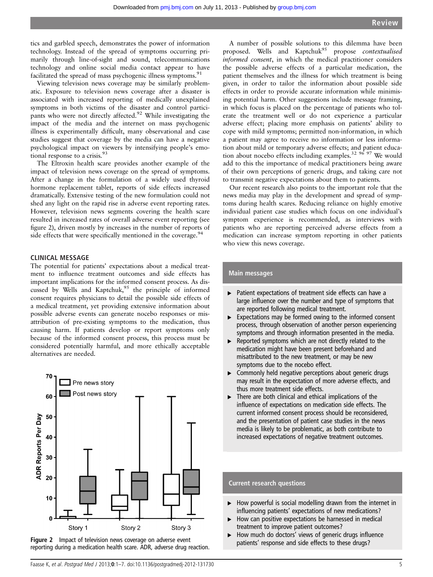tics and garbled speech, demonstrates the power of information technology. Instead of the spread of symptoms occurring primarily through line-of-sight and sound, telecommunications technology and online social media contact appear to have facilitated the spread of mass psychogenic illness symptoms.<sup>91</sup>

Viewing television news coverage may be similarly problematic. Exposure to television news coverage after a disaster is associated with increased reporting of medically unexplained symptoms in both victims of the disaster and control participants who were not directly affected.<sup>92</sup> While investigating the impact of the media and the internet on mass psychogenic illness is experimentally difficult, many observational and case studies suggest that coverage by the media can have a negative psychological impact on viewers by intensifying people's emotional response to a crisis.<sup>93</sup>

The Eltroxin health scare provides another example of the impact of television news coverage on the spread of symptoms. After a change in the formulation of a widely used thyroid hormone replacement tablet, reports of side effects increased dramatically. Extensive testing of the new formulation could not shed any light on the rapid rise in adverse event reporting rates. However, television news segments covering the health scare resulted in increased rates of overall adverse event reporting (see figure 2), driven mostly by increases in the number of reports of side effects that were specifically mentioned in the coverage.<sup>94</sup>

# CLINICAL MESSAGE

The potential for patients' expectations about a medical treatment to influence treatment outcomes and side effects has important implications for the informed consent process. As discussed by Wells and Kaptchuk, $95$  the principle of informed consent requires physicians to detail the possible side effects of a medical treatment, yet providing extensive information about possible adverse events can generate nocebo responses or misattribution of pre-existing symptoms to the medication, thus causing harm. If patients develop or report symptoms only because of the informed consent process, this process must be considered potentially harmful, and more ethically acceptable alternatives are needed.



patients' response and side effects to these drugs? Figure 2 Impact of television news coverage on adverse event reporting during a medication health scare. ADR, adverse drug reaction.

A number of possible solutions to this dilemma have been proposed. Wells and Kaptchuk<sup>95</sup> propose contextualised informed consent, in which the medical practitioner considers the possible adverse effects of a particular medication, the patient themselves and the illness for which treatment is being given, in order to tailor the information about possible side effects in order to provide accurate information while minimising potential harm. Other suggestions include message framing, in which focus is placed on the percentage of patients who tolerate the treatment well or do not experience a particular adverse effect; placing more emphasis on patients' ability to cope with mild symptoms; permitted non-information, in which a patient may agree to receive no information or less information about mild or temporary adverse effects; and patient education about nocebo effects including examples.<sup>32 96</sup> 97 We would add to this the importance of medical practitioners being aware of their own perceptions of generic drugs, and taking care not to transmit negative expectations about them to patients.

Our recent research also points to the important role that the news media may play in the development and spread of symptoms during health scares. Reducing reliance on highly emotive individual patient case studies which focus on one individual's symptom experience is recommended, as interviews with patients who are reporting perceived adverse effects from a medication can increase symptom reporting in other patients who view this news coverage.

#### Main messages

- ▸ Patient expectations of treatment side effects can have a large influence over the number and type of symptoms that are reported following medical treatment.
- ▸ Expectations may be formed owing to the informed consent process, through observation of another person experiencing symptoms and through information presented in the media.
- ▸ Reported symptoms which are not directly related to the medication might have been present beforehand and misattributed to the new treatment, or may be new symptoms due to the nocebo effect.
- ▶ Commonly held negative perceptions about generic drugs may result in the expectation of more adverse effects, and thus more treatment side effects.
- ▸ There are both clinical and ethical implications of the influence of expectations on medication side effects. The current informed consent process should be reconsidered, and the presentation of patient case studies in the news media is likely to be problematic, as both contribute to increased expectations of negative treatment outcomes.

# Current research questions

- ▶ How powerful is social modelling drawn from the internet in influencing patients' expectations of new medications?
- ▸ How can positive expectations be harnessed in medical treatment to improve patient outcomes?
- ▸ How much do doctors' views of generic drugs influence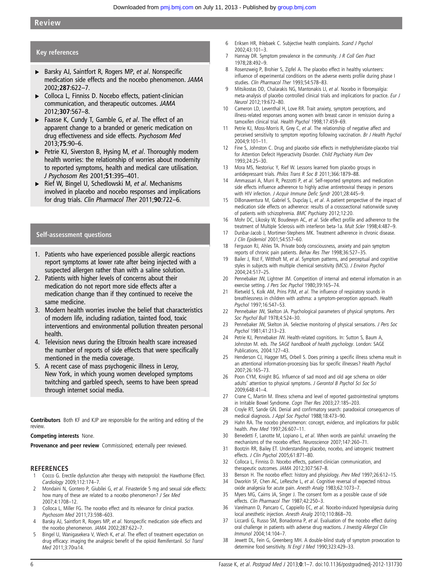# Review

# Key references

- ▶ Barsky AJ, Saintfort R, Rogers MP, et al. Nonspecific medication side effects and the nocebo phenomenon. JAMA 2002;287:622–7.
- ▶ Colloca L, Finniss D. Nocebo effects, patient-clinician communication, and therapeutic outcomes. JAMA 2012;307:567–8.
- ► Faasse K, Cundy T, Gamble G, et al. The effect of an apparent change to a branded or generic medication on drug effectiveness and side effects. Psychosom Med 2013;75:90–6.
- ▶ Petrie KJ, Siverston B, Hysing M, et al. Thoroughly modern health worries: the relationship of worries about modernity to reported symptoms, health and medical care utilisation. J Psychosom Res 2001;51:395–401.
- Rief W, Bingel U, Schedlowski M, et al. Mechanisms involved in placebo and nocebo responses and implications for drug trials. Clin Pharmacol Ther 2011;90:722–6.

# Self-assessment questions

- 1. Patients who have experienced possible allergic reactions report symptoms at lower rate after being injected with a suspected allergen rather than with a saline solution.
- 2. Patients with higher levels of concerns about their medication do not report more side effects after a medication change than if they continued to receive the same medicine.
- 3. Modern health worries involve the belief that characteristics of modern life, including radiation, tainted food, toxic interventions and environmental pollution threaten personal health.
- 4. Television news during the Eltroxin health scare increased the number of reports of side effects that were specifically mentioned in the media coverage.
- 5. A recent case of mass psychogenic illness in Leroy, New York, in which young women developed symptoms twitching and garbled speech, seems to have been spread through internet social media.

Contributors Both KF and KJP are responsible for the writing and editing of the review.

Competing interests None.

Provenance and peer review Commissioned; externally peer reviewed.

#### REFERENCES

- 1 Cocco G. Erectile dysfunction after therapy with metoprolol: the Hawthorne Effect. Cardiology 2009;112:174–7.
- Mondaini N, Gontero P, Giubilei G, et al. Finasteride 5 mg and sexual side effects: how many of these are related to a nocebo phenomenon? J Sex Med 2007;4:1708–12.
- 3 Colloca L, Miller FG. The nocebo effect and its relevance for clinical practice. Psychosom Med 2011;73:598–603.
- Barsky AJ, Saintfort R, Rogers MP, et al. Nonspecific medication side effects and the nocebo phenomenon. JAMA 2002;287:622–7.
- Bingel U, Wanigasekera V, Wiech K, et al. The effect of treatment expectation on drug efficacy: imaging the analgesic benefit of the opioid Remifentanil. Sci Transl Med 2011;3:70ra14.
- 6 Eriksen HR, Ihlebaek C. Subjective health complaints. Scand J Psychol 2002;43:101–3.
- 7 Hannay DR. Symptom prevalence in the community. J R Coll Gen Pract 1978;28:492–9.
- 8 Rosenzweig P, Brohier S, Zipfel A. The placebo effect in healthy volunteers: influence of experimental conditions on the adverse events profile during phase I studies. Clin Pharmacol Ther 1993;54:578–83.
- 9 Mitsikostas DD, Chalarakis NG, Mantonakis LI, et al. Nocebo in fibromyalgia: meta-analysis of placebo controlled clinical trials and implications for practice. Eur J Neurol 2012;19:672–80.
- 10 Cameron LD, Leventhal H, Love RR. Trait anxiety, symptom perceptions, and illness-related responses among women with breast cancer in remission during a tamoxifen clinical trial. Health Psychol 1998;17:459–69.
- 11 Petrie KJ, Moss-Morris R, Grey C, et al. The relationship of negative affect and perceived sensitivity to symptom reporting following vaccination. Br J Health Psychol 2004;9:101–11.
- 12 Fine S, Johnston C. Drug and placebo side effects in methylphenidate-placebo trial for Attention Defecit Hyperactivity Disorder. Child Psychiatry Hum Dev 1993;24:25–30.
- 13 Mora MS, Nestoriuc Y, Rief W. Lessons learned from placebo groups in antidepressant trials. Philos Trans R Soc B 2011;366:1879–88.
- Ammassari A, Murri R, Pezzotti P, et al. Self-reported symptoms and medication side effects influence adherence to highly active antiretroviral therapy in persons with HIV infection. J Acquir Immune Defic Syndr 2001;28:445–9.
- 15 DiBonaventura M, Gabriel S, Dupclay L, et al. A patient perspective of the impact of medication side effects on adherence: results of a crosssectional nationwide survey of patients with schizophrenia. BMC Psychiatry 2012;12:20.
- 16 Mohr DC, Likosky W, Boudewyn AC, et al. Side effect profile and adherence to the treatment of Multiple Sclerosis with interferon beta-1a. Mult Scler 1998;4:487–9.
- 17 Dunbar-Jacob J, Mortimer-Stephens MK. Treatment adherence in chronic disease. J Clin Epidemiol 2001;54:S57–60.
- 18 Ferguson RJ, Ahles TA. Private body consciousness, anxiety and pain symptom reports of chronic pain patients. Behav Res Ther 1998;36:527–35.
- 19 Bailer J, Rist F, Witthoft M, et al. Symptom patterns, and perceptual and cognitive styles in subjects with multiple chemical sensitivity (MCS). J Environ Psychol 2004;24:517–25.
- 20 Pennebaker JW, Lightner JM. Competition of internal and external information in an exercise setting. J Pers Soc Psychol 1980;39:165–74.
- 21 Rietveld S, Kolk AM, Prins PJM, et al. The influence of respiratory sounds in breathlessness in children with asthma: a symptom-perception approach. Health Psychol 1997;16:547–53.
- 22 Pennebaker JW, Skelton JA. Psychological parameters of physical symptoms. Pers Soc Psychol Bull 1978;4:524–30.
- 23 Pennebaker JW, Skelton JA. Selective monitoring of physical sensations. J Pers Soc Psychol 1981;41:213–23.
- 24 Petrie KJ, Pennebaker JW. Health-related cognitions. In: Sutton S, Baum A, Johnston M. eds. The SAGE handbook of health psychology. London: SAGE Publications, 2004:127–43.
- 25 Henderson CJ, Hagger MS, Orbell S. Does priming a specific illness schema result in an attentional information-processing bias for specific illnesses? Health Psychol 2007;26:165–73.
- 26 Poon CYM, Knight BG. Influence of sad mood and old age schema on older adults' attention to physical symptoms. J Gerontol B Psychol Sci Soc Sci 2009;64B:41–4.
- 27 Crane C, Martin M. Illness schema and level of reported gastrointestinal symptoms in Irritable Bowel Syndrome. Cogn Ther Res 2003;27:185–203.
- 28 Croyle RT, Sande GN. Denial and confirmatory search: paradoxical consequences of medical diagnosis. J Appl Soc Psychol 1988;18:473–90.
- 29 Hahn RA. The nocebo phenomenon: concept, evidence, and implications for public health. Prev Med 1997;26:607–11.
- 30 Benedetti F, Lanotte M, Lopiano L, et al. When words are painful: unraveling the mechanisms of the nocebo effect. Neuroscience 2007;147:260–71.
- 31 Bootzin RR, Bailey ET. Understanding placebo, nocebo, and iatrogenic treatment effects. J Clin Psychol 2005;61:871–80.
- 32 Colloca L, Finniss D. Nocebo effects, patient-clinician communication, and therapeutic outcomes. JAMA 2012;307:567–8.
- 33 Benson H. The nocebo effect: history and physiology. Prev Med 1997;26:612–15.
- 34 Dworkin SF, Chen AC, LeResche L, et al. Cognitive reversal of expected nitrous oxide analgesia for acute pain. Anesth Analg 1983;62:1073–7.
- 35 Myers MG, Cairns JA, Singer J. The consent form as a possible cause of side effects. Clin Pharmacol Ther 1987;42:250–3.
- 36 Varelmann D, Pancaro C, Cappiello EC, et al. Nocebo-induced hyperalgesia during local anesthetic injection. Anesth Analg 2010;110:868–70.
- 37 Liccardi G, Russo SM, Bonadonna P, et al. Evaluation of the nocebo effect during oral challenge in patients with adverse drug reactions. J Investig Allergol Clin Immunol 2004;14:104–7.
- 38 Jewett DL, Fein G, Greenberg MH. A double-blind study of symptom provocation to determine food sensitivity. N Engl J Med 1990;323:429-33.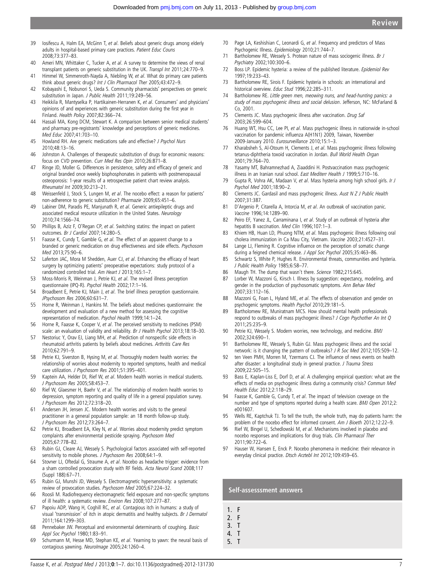- 39 Iosifescu A, Halm EA, McGinn T, et al. Beliefs about generic drugs among elderly adults in hospital-based primary care practices. Patient Educ Couns 2008;73:377–83.
- 40 Ameri MN, Whittaker C, Tucker A, et al. A survey to determine the views of renal transplant patients on generic substitution in the UK. Transpl Int 2011;24:770–9.
- 41 Himmel W, Simmenroth-Nayda A, Niebling W, et al. What do primary care patients think about generic drugs? Int J Clin Pharmacol Ther 2005;43:472–9.
- 42 Kobayashi E, Nobunori S, Ueda S. Community pharmacists' perspectives on generic substitution in Japan. J Public Health 2011;19:249–56.
- 43 Heikkila R, Mantyselka P, Hartikainen-Herranen K, et al. Consumers' and physicians' opinions of and experiences with generic substitution during the first year in Finland. Health Policy 2007;82:366–74.
- 44 Hassali MA, Kong DCM, Stewart K. A comparison between senior medical students' and pharmacy pre-registrants' knowledge and perceptions of generic medicines. Med Educ 2007;41:703–10.
- 45 Howland RH. Are generic medications safe and effective? J Psychol Nurs 2010;48:13–16.
- 46 Johnston A. Challenges of therapeutic substitution of drugs for economic reasons: focus on CVD prevention. Curr Med Res Opin 2010;26:871–8.
- 47 Ringe JD, Moller G. Differences in persistence, safety and efficacy of generic and original branded once weekly bisphosphonates in patients with postmenopausal osteoporosis: 1-year results of a retrospective patient chart review analysis. Rheumatol Int 2009;30:213–21.
- 48 Weissenfeld J, Stock S, Lungen M, et al. The nocebo effect: a reason for patients' non-adherence to generic substitution? Pharmazie 2009;65:451–6.
- 49 Labiner DM, Paradis PE, Manjunath R, et al. Generic antiepileptic drugs and associated medical resource utilization in the United States. Neurology 2010;74:1566–74.
- 50 Phillips B, Aziz F, O'Regan CP, et al. Switching statins: the impact on patient outcomes. Br J Cardiol 2007;14:280–5.
- 51 Faasse K, Cundy T, Gamble G, et al. The effect of an apparent change to a branded or generic medication on drug effectiveness and side effects. Psychosom Med 2013;75:90–6.
- 52 Laferton JAC, Mora M Shedden, Auer CJ, et al. Enhancing the efficacy of heart surgery by optimizing patients' preoperative expectations: study protocol of a randomized controlled trial. Am Heart J 2013;165:1–7.
- 53 Moss-Morris R, Weinman J, Petrie KJ, et al. The revised illness perception questionnaire (IPQ-R). Psychol Health 2002;17:1–16.
- 54 Broadbent E, Petrie KJ, Main J, et al. The brief illness perception questionnaire. JPsychosom Res 2006;60:631–7.
- 55 Horne R, Weinman J, Hankins M. The beliefs about medicines questionnaire: the development and evaluation of a new method for assessing the cognitive representation of medication. Psychol Health 1999;14:1–24.
- 56 Horne R, Faasse K, Cooper V, et al. The perceived sensitivity to medicines (PSM) scale: an evaluation of validity and reliability. Br J Health Psychol 2013;18:18–30.
- 57 Nestoriuc Y, Orav EJ, Liang MH, et al. Prediction of nonspecific side effects in rheumatoid arthritis patients by beliefs about medicines. Arthritis Care Res 2010;62:791–9.
- 58 Petrie KJ, Siverston B, Hysing M, et al. Thoroughly modern health worries: the relationship of worries about modernity to reported symptoms, health and medical care utilization. J Psychosom Res 2001;51:395–401.
- 59 Kaptein AA, Helder DI, Rief W, et al. Modern health worries in medical students. J Psychosom Res 2005;58:453–7.
- 60 Rief W, Glaesmer H, Baehr V, et al. The relationship of modern health worries to depression, symptom reporting and quality of life in a general population survey. J Psychosom Res 2012;72:318–20.
- 61 Andersen JH, Jensen JC. Modern health worries and visits to the general practitioner in a general population sample: an 18 month follow-up study. J Psychosom Res 2012;73:264–7.
- 62 Petrie KJ, Broadbent EA, Kley N, et al. Worries about modernity predict symptom complaints after environmental pesticide spraying. Psychosom Med 2005;67:778–82.
- 63 Rubin GJ, Cleare AJ, Wessely S. Psychological factors associated with self-reported sensitivity to mobile phones. J Psychosom Res 2008;64:1-9.
- 64 Stovner LJ, Oftedal G, Straume A, et al. Nocebo as headache trigger: evidence from a sham controlled provocation study with RF fields. Acta Neurol Scand 2008;117 (Suppl 188):67–71.
- 65 Rubin GJ, Munshi JD, Wessely S. Electromagnetic hypersensitivity: a systematic review of provocation studies. Psychosom Med 2005;67:224–32.
- 66 Roosli M. Radiofrequency electromagnetic field exposure and non-specific symptoms of ill health: a systematic review. Environ Res 2008;107:277–87.
- 67 Papoiu ADP, Wang H, Coghill RC, et al. Contagious itch in humans: a study of visual 'transmission' of itch in atopic dermatitis and healthy subjects. Br J Dermatol 2011;164:1299–303.
- 68 Pennebaker JW. Perceptual and environmental determinants of coughing. Basic Appl Soc Psychol 1980;1:83–91.
- 69 Schurmann M, Hesse MD, Stephan KE, et al. Yearning to yawn: the neural basis of contagious yawning. NeuroImage 2005;24:1260-4.
- 70 Page LA, Keshishian C, Leonardi G, et al. Frequency and predictors of Mass Psychogenic Illness. Epidemiology 2010;21:744–7.
- 71 Bartholomew RE, Wessely S. Protean nature of mass sociogenic illness. Br J Psychiatry 2002;100:300–6.
- 72 Boss LP. Epidemic hysteria: a review of the published literature. Epidemiol Rev 1997;19:233–43.
- 73 Bartholomew RE, Sirois F. Epidemic hysteria in schools: an international and historical overview. Educ Stud 1996;22:285–311.
- 74 Bartholomew RE. Little green men, meowing nuns, and head-hunting panics: a study of mass psychogenic illness and social delusion. Jefferson, NC: McFarland & Co, 2001.
- 75 Clements JC. Mass psychogenic illness after vaccination. Drug Saf 2003;26:599–604.
- 76 Huang WT, Hsu CC, Lee PI, et al. Mass psychogenic illness in nationwide in-school vaccination for pandemic influenza A(H1N1) 2009, Taiwan, November 2009-January 2010. Eurosurveillance 2010;15:1–3.
- 77 Kharabsheh S, Al-Otoum H, Clements J, et al. Mass psychogenic illness following tetanus-diphtheria toxoid vaccination in Jordan. Bull World Health Organ 2001;79:764–70.
- 78 Yasamy MT, Bahramnezhad A, Ziaaddini H. Postvaccination mass psychogenic illness in an Iranian rural school. East Mediterr Health J 1999;5:710-16.
- 79 Gupta R, Vohra AK, Madaan V, et al. Mass hysteria among high school girls. Ir J Psychol Med 2001;18:90–2.
- 80 Clements JC. Gardasil and mass psychogenic illness. Aust N Z J Public Health 2007;31:387.
- 81 D'Argenio P, Citarella A, Intorcia M, et al. An outbreak of vaccination panic. Vaccine 1996;14:1289–90.
- 82 Peiro EF, Yanez JL, Carraminana I, et al. Study of an outbreak of hysteria after hepatitis B vaccination. Med Clin 1996;107:1-3.
- 83 Khiem HB, Huan LD, Phuong NTM, et al. Mass psychogenic illness following oral cholera immunization in Ca Mau City, Vietnam. Vaccine 2003;21:4527–31.
- 84 Lange LJ, Fleming R. Cognitive influence on the perception of somatic change during a feigned chemical release. J Appl Soc Psychol 2005;35:463-86.
- 85 Schwartz S, White P, Hughes R. Environmental threats, communities and hysteria. J Public Health Policy 1985;6:58–77.
- 86 Maugh TH. The dump that wasn't there. Science 1982;215:645.
- 87 Lorber W, Mazzoni G, Kirsch I. Illness by suggestion: expectancy, modeling, and gender in the production of psychosomatic symptoms. Ann Behav Med 2007;33:112–16.
- 88 Mazzoni G, Foan L, Hyland ME, et al. The effects of observation and gender on psychogenic symptoms. Health Psychol 2010;29:181–5.
- 89 Bartholomew RE, Muniratnam MCS. How should mental health professionals respond to outbreaks of mass psychogenic illness? J Cogn Psychother An Int Q 2011;25:235–9.
- 90 Petrie KJ, Wessely S. Modern worries, new technology, and medicine. BMJ 2002;324:690–1.
- 91 Bartholomew RE, Wessely S, Rubin GJ. Mass psychogenic illness and the social network: is it changing the pattern of outbreaks? J R Soc Med 2012;105:509–12.
- 92 ten Veen PMH, Morren M, Yzermans CJ. The influence of news events on health after disaster: a longitudinal study in general practice. J Trauma Stress 2009;22:505–15.
- 93 Bass E, Kaplan-Liss E, Dorf D, et al. A challenging empirical question: what are the effects of media on psychogenic illness during a community crisis? Commun Med Health Educ 2012;2:118–29.
- 94 Faasse K, Gamble G, Cundy T, et al. The impact of television coverage on the number and type of symptoms reported during a health scare. BMJ Open 2012;2: e001607.
- 95 Wells RE, Kaptchuk TJ. To tell the truth, the whole truth, may do patients harm: the problem of the nocebo effect for informed consent. Am J Bioeth 2012;12:22-9.
- 96 Rief W, Bingel U, Schedlowski M, et al. Mechanisms involved in placebo and nocebo responses and implications for drug trials. Clin Pharmacol Ther 2011;90:722–6.
- 97 Hauser W, Hansen E, Enck P. Nocebo phenomena in medicine: their relevance in everyday clinical practice. Dtsch Arztebl Int 2012;109:459–65.

# Self-assesssment answers

- 1. F
- 2. F
- 3. T
- 4. T
- 5. T